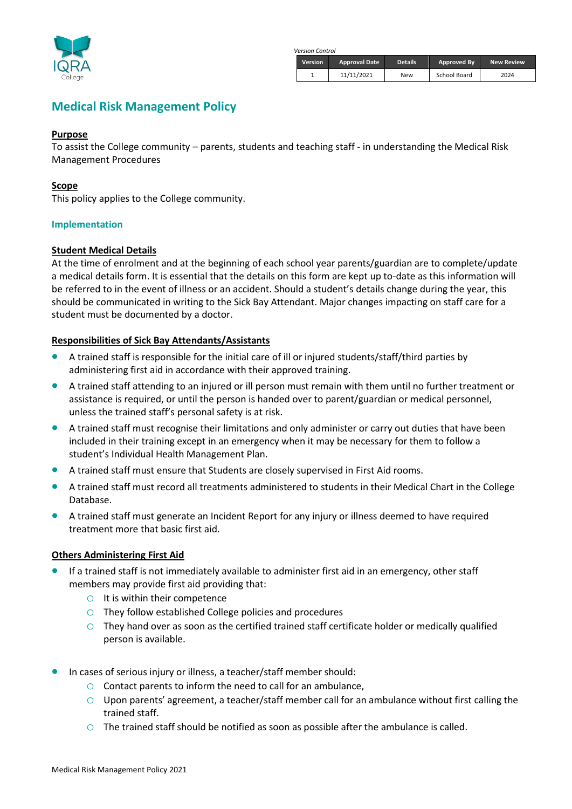

*Version Control*

| <b>Version</b> | <b>Approval Date</b> | <b>Details</b> | Approved By  | <b>New Review</b> |
|----------------|----------------------|----------------|--------------|-------------------|
|                | 11/11/2021           | New            | School Board | 2024              |

# **Medical Risk Management Policy**

#### **Purpose**

To assist the College community – parents, students and teaching staff - in understanding the Medical Risk Management Procedures

## **Scope**

This policy applies to the College community.

## **Implementation**

## **Student Medical Details**

At the time of enrolment and at the beginning of each school year parents/guardian are to complete/update a medical details form. It is essential that the details on this form are kept up to-date as this information will be referred to in the event of illness or an accident. Should a student's details change during the year, this should be communicated in writing to the Sick Bay Attendant. Major changes impacting on staff care for a student must be documented by a doctor.

## **Responsibilities of Sick Bay Attendants/Assistants**

- A trained staff is responsible for the initial care of ill or injured students/staff/third parties by administering first aid in accordance with their approved training.
- A trained staff attending to an injured or ill person must remain with them until no further treatment or assistance is required, or until the person is handed over to parent/guardian or medical personnel, unless the trained staff's personal safety is at risk.
- A trained staff must recognise their limitations and only administer or carry out duties that have been included in their training except in an emergency when it may be necessary for them to follow a student's Individual Health Management Plan.
- A trained staff must ensure that Students are closely supervised in First Aid rooms.
- A trained staff must record all treatments administered to students in their Medical Chart in the College Database.
- A trained staff must generate an Incident Report for any injury or illness deemed to have required treatment more that basic first aid.

# **Others Administering First Aid**

- If a trained staff is not immediately available to administer first aid in an emergency, other staff members may provide first aid providing that:
	- $\circ$  It is within their competence
	- o They follow established College policies and procedures
	- o They hand over as soon as the certified trained staff certificate holder or medically qualified person is available.
- In cases of serious injury or illness, a teacher/staff member should:
	- $\circ$  Contact parents to inform the need to call for an ambulance,
	- o Upon parents' agreement, a teacher/staff member call for an ambulance without first calling the trained staff.
	- $\circ$  The trained staff should be notified as soon as possible after the ambulance is called.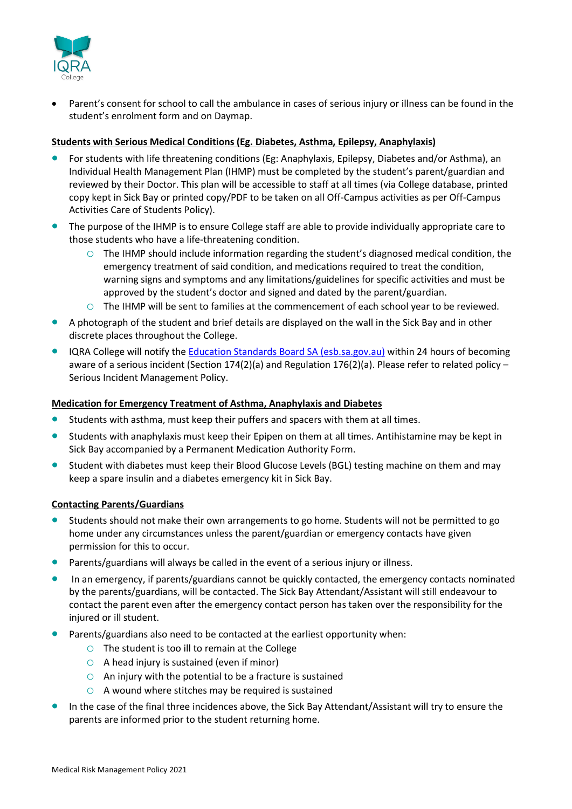

Parent's consent for school to call the ambulance in cases of serious injury or illness can be found in the student's enrolment form and on Daymap.

## **Students with Serious Medical Conditions (Eg. Diabetes, Asthma, Epilepsy, Anaphylaxis)**

- For students with life threatening conditions (Eg: Anaphylaxis, Epilepsy, Diabetes and/or Asthma), an Individual Health Management Plan (IHMP) must be completed by the student's parent/guardian and reviewed by their Doctor. This plan will be accessible to staff at all times (via College database, printed copy kept in Sick Bay or printed copy/PDF to be taken on all Off-Campus activities as per Off-Campus Activities Care of Students Policy).
- The purpose of the IHMP is to ensure College staff are able to provide individually appropriate care to those students who have a life-threatening condition.
	- $\circ$  The IHMP should include information regarding the student's diagnosed medical condition, the emergency treatment of said condition, and medications required to treat the condition, warning signs and symptoms and any limitations/guidelines for specific activities and must be approved by the student's doctor and signed and dated by the parent/guardian.
	- o The IHMP will be sent to families at the commencement of each school year to be reviewed.
- A photograph of the student and brief details are displayed on the wall in the Sick Bay and in other discrete places throughout the College.
- IQRA College will notify the [Education Standards Board SA \(esb.sa.gov.au\)](https://www.esb.sa.gov.au/) within 24 hours of becoming aware of a serious incident (Section 174(2)(a) and Regulation 176(2)(a). Please refer to related policy – Serious Incident Management Policy.

## **Medication for Emergency Treatment of Asthma, Anaphylaxis and Diabetes**

- Students with asthma, must keep their puffers and spacers with them at all times.
- Students with anaphylaxis must keep their Epipen on them at all times. Antihistamine may be kept in Sick Bay accompanied by a Permanent Medication Authority Form.
- Student with diabetes must keep their Blood Glucose Levels (BGL) testing machine on them and may keep a spare insulin and a diabetes emergency kit in Sick Bay.

#### **Contacting Parents/Guardians**

- Students should not make their own arrangements to go home. Students will not be permitted to go home under any circumstances unless the parent/guardian or emergency contacts have given permission for this to occur.
- Parents/guardians will always be called in the event of a serious injury or illness.
- In an emergency, if parents/guardians cannot be quickly contacted, the emergency contacts nominated by the parents/guardians, will be contacted. The Sick Bay Attendant/Assistant will still endeavour to contact the parent even after the emergency contact person has taken over the responsibility for the injured or ill student.
- Parents/guardians also need to be contacted at the earliest opportunity when:
	- $\circ$  The student is too ill to remain at the College
	- $\circ$  A head injury is sustained (even if minor)
	- $\circ$  An injury with the potential to be a fracture is sustained
	- $\circ$  A wound where stitches may be required is sustained
- In the case of the final three incidences above, the Sick Bay Attendant/Assistant will try to ensure the parents are informed prior to the student returning home.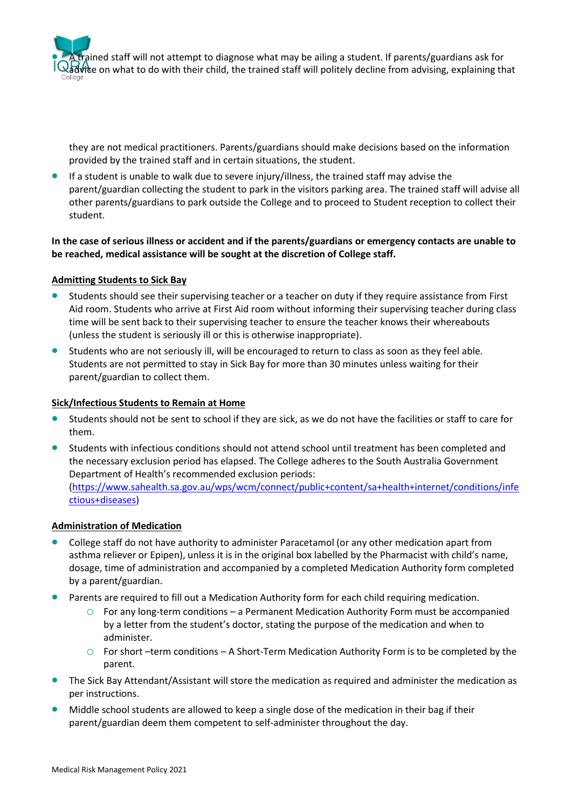ained staff will not attempt to diagnose what may be ailing a student. If parents/guardians ask for  $\delta$ vice on what to do with their child, the trained staff will politely decline from advising, explaining that

they are not medical practitioners. Parents/guardians should make decisions based on the information provided by the trained staff and in certain situations, the student.

• If a student is unable to walk due to severe injury/illness, the trained staff may advise the parent/guardian collecting the student to park in the visitors parking area. The trained staff will advise all other parents/guardians to park outside the College and to proceed to Student reception to collect their student.

**In the case of serious illness or accident and if the parents/guardians or emergency contacts are unable to be reached, medical assistance will be sought at the discretion of College staff.**

## **Admitting Students to Sick Bay**

- Students should see their supervising teacher or a teacher on duty if they require assistance from First Aid room. Students who arrive at First Aid room without informing their supervising teacher during class time will be sent back to their supervising teacher to ensure the teacher knows their whereabouts (unless the student is seriously ill or this is otherwise inappropriate).
- Students who are not seriously ill, will be encouraged to return to class as soon as they feel able. Students are not permitted to stay in Sick Bay for more than 30 minutes unless waiting for their parent/guardian to collect them.

#### **Sick/Infectious Students to Remain at Home**

- Students should not be sent to school if they are sick, as we do not have the facilities or staff to care for them.
- Students with infectious conditions should not attend school until treatment has been completed and the necessary exclusion period has elapsed. The College adheres to the South Australia Government Department of Health's recommended exclusion periods: [\(https://www.sahealth.sa.gov.au/wps/wcm/connect/public+content/sa+health+internet/conditions/infe](https://www.sahealth.sa.gov.au/wps/wcm/connect/public+content/sa+health+internet/conditions/infectious+diseases) [ctious+diseases\)](https://www.sahealth.sa.gov.au/wps/wcm/connect/public+content/sa+health+internet/conditions/infectious+diseases)

#### **Administration of Medication**

- College staff do not have authority to administer Paracetamol (or any other medication apart from asthma reliever or Epipen), unless it is in the original box labelled by the Pharmacist with child's name, dosage, time of administration and accompanied by a completed Medication Authority form completed by a parent/guardian.
- Parents are required to fill out a Medication Authority form for each child requiring medication.
	- $\circ$  For any long-term conditions a Permanent Medication Authority Form must be accompanied by a letter from the student's doctor, stating the purpose of the medication and when to administer.
	- o For short –term conditions A Short-Term Medication Authority Form is to be completed by the parent.
- The Sick Bay Attendant/Assistant will store the medication as required and administer the medication as per instructions.
- Middle school students are allowed to keep a single dose of the medication in their bag if their parent/guardian deem them competent to self-administer throughout the day.